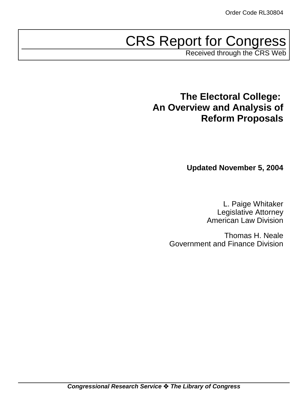# CRS Report for Congress

Received through the CRS Web

# **The Electoral College: An Overview and Analysis of Reform Proposals**

**Updated November 5, 2004**

L. Paige Whitaker Legislative Attorney American Law Division

Thomas H. Neale Government and Finance Division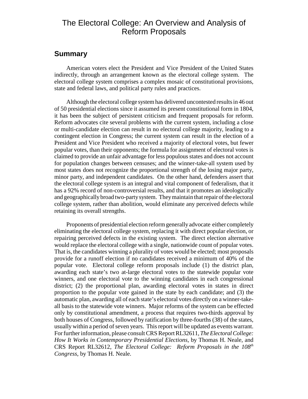# The Electoral College: An Overview and Analysis of Reform Proposals

# **Summary**

American voters elect the President and Vice President of the United States indirectly, through an arrangement known as the electoral college system. The electoral college system comprises a complex mosaic of constitutional provisions, state and federal laws, and political party rules and practices.

Although the electoral college system has delivered uncontested results in 46 out of 50 presidential elections since it assumed its present constitutional form in 1804, it has been the subject of persistent criticism and frequent proposals for reform. Reform advocates cite several problems with the current system, including a close or multi-candidate election can result in no electoral college majority, leading to a contingent election in Congress; the current system can result in the election of a President and Vice President who received a majority of electoral votes, but fewer popular votes, than their opponents; the formula for assignment of electoral votes is claimed to provide an unfair advantage for less populous states and does not account for population changes between censuses; and the winner-take-all system used by most states does not recognize the proportional strength of the losing major party, minor party, and independent candidates. On the other hand, defenders assert that the electoral college system is an integral and vital component of federalism, that it has a 92% record of non-controversial results, and that it promotes an ideologically and geographically broad two-party system. They maintain that repair of the electoral college system, rather than abolition, would eliminate any perceived defects while retaining its overall strengths.

Proponents of presidential election reform generally advocate either completely eliminating the electoral college system, replacing it with direct popular election, or repairing perceived defects in the existing system. The direct election alternative would replace the electoral college with a single, nationwide count of popular votes. That is, the candidates winning a plurality of votes would be elected; most proposals provide for a runoff election if no candidates received a minimum of 40% of the popular vote. Electoral college reform proposals include (1) the district plan, awarding each state's two at-large electoral votes to the statewide popular vote winners, and one electoral vote to the winning candidates in each congressional district; (2) the proportional plan, awarding electoral votes in states in direct proportion to the popular vote gained in the state by each candidate; and (3) the automatic plan, awarding all of each state's electoral votes directly on a winner-takeall basis to the statewide vote winners. Major reforms of the system can be effected only by constitutional amendment, a process that requires two-thirds approval by both houses of Congress, followed by ratification by three-fourths (38) of the states, usually within a period of seven years. This report will be updated as events warrant. For further information, please consult CRS Report RL32611, *The Electoral College: How It Works in Contemporary Presidential Elections*, by Thomas H. Neale, and CRS Report RL32612, *The Electoral College: Reform Proposals in the 108th Congress*, by Thomas H. Neale.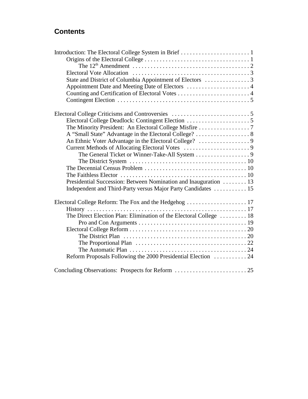# **Contents**

| The Minority President: An Electoral College Misfire $\ldots \ldots \ldots \ldots$                                  |
|---------------------------------------------------------------------------------------------------------------------|
|                                                                                                                     |
|                                                                                                                     |
|                                                                                                                     |
| The General Ticket or Winner-Take-All System 9                                                                      |
| The District System $\ldots \ldots \ldots \ldots \ldots \ldots \ldots \ldots \ldots \ldots \ldots \ldots \ldots 10$ |
|                                                                                                                     |
| The Faithless Elector $\dots\dots\dots\dots\dots\dots\dots\dots\dots\dots\dots\dots\dots\dots 10$                   |
| Presidential Succession: Between Nomination and Inauguration  13                                                    |
|                                                                                                                     |
|                                                                                                                     |
|                                                                                                                     |
|                                                                                                                     |
| The Direct Election Plan: Elimination of the Electoral College  18                                                  |
|                                                                                                                     |
|                                                                                                                     |
|                                                                                                                     |
|                                                                                                                     |
|                                                                                                                     |
| Reform Proposals Following the 2000 Presidential Election  24                                                       |
|                                                                                                                     |
| Concluding Observations: Prospects for Reform  25                                                                   |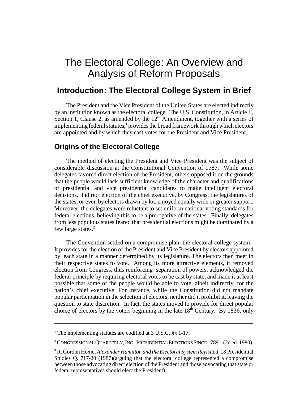# The Electoral College: An Overview and Analysis of Reform Proposals

# **Introduction: The Electoral College System in Brief**

The President and the Vice President of the United States are elected indirectly by an institution known as the electoral college. The U.S. Constitution, in Article II, Section 1, Clause 2, as amended by the  $12<sup>th</sup>$  Amendment, together with a series of implementing federal statutes,<sup>1</sup> provides the broad framework through which electors are appointed and by which they cast votes for the President and Vice President.

# **Origins of the Electoral College**

The method of electing the President and Vice President was the subject of considerable discussion at the Constitutional Convention of 1787. While some delegates favored direct election of the President, others opposed it on the grounds that the people would lack sufficient knowledge of the character and qualifications of presidential and vice presidential candidates to make intelligent electoral decisions. Indirect election of the chief executive, by Congress, the legislatures of the states, or even by electors drawn by lot, enjoyed equally wide or greater support. Moreover, the delegates were reluctant to set uniform national voting standards for federal elections, believing this to be a prerogative of the states. Finally, delegates from less populous states feared that presidential elections might be dominated by a few large states.<sup>2</sup>

The Convention settled on a compromise plan: the electoral college system.<sup>3</sup> It provides for the election of the President and Vice President by electors appointed by each state in a manner determined by its legislature. The electors then meet in their respective states to vote. Among its more attractive elements, it removed election from Congress, thus reinforcing separation of powers, acknowledged the federal principle by requiring electoral votes to be cast by state, and made it at least possible that some of the people would be able to vote, albeit indirectly, for the nation's chief executive. For instance, while the Constitution did not mandate popular participation in the selection of electors, neither did it prohibit it, leaving the question to state discretion. In fact, the states moved to provide for direct popular choice of electors by the voters beginning in the late  $18<sup>th</sup>$  Century. By 1836, only

<sup>&</sup>lt;sup>1</sup> The implementing statutes are codified at 3 U.S.C. §§ 1-17.

 $^2$  Congressional Quarterly, Inc., Presidential Elections Since 1789 1 (2d ed. 1980).

<sup>3</sup> R. Gordon Hoxie, *Alexander Hamilton and the Electoral System Revisited,* 18 Presidential Studies Q. 717-20 (1987)(arguing that the electoral college represented a compromise between those advocating direct election of the President and those advocating that state or federal representatives should elect the President).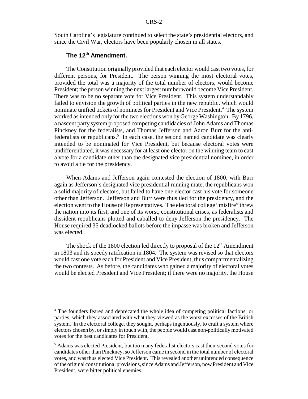South Carolina's legislature continued to select the state's presidential electors, and since the Civil War, electors have been popularly chosen in all states.

### **The 12th Amendment.**

The Constitution originally provided that each elector would cast two votes, for different persons, for President. The person winning the most electoral votes, provided the total was a majority of the total number of electors, would become President; the person winning the next largest number would become Vice President. There was to be no separate vote for Vice President. This system understandably failed to envision the growth of political parties in the new republic, which would nominate unified tickets of nominees for President and Vice President.<sup>4</sup> The system worked as intended only for the two elections won by George Washington. By 1796, a nascent party system proposed competing candidacies of John Adams and Thomas Pinckney for the federalists, and Thomas Jefferson and Aaron Burr for the antifederalists or republicans.<sup>5</sup> In each case, the second named candidate was clearly intended to be nominated for Vice President, but because electoral votes were undifferentiated, it was necessary for at least one elector on the winning team to cast a vote for a candidate other than the designated vice presidential nominee, in order to avoid a tie for the presidency.

When Adams and Jefferson again contested the election of 1800, with Burr again as Jefferson's designated vice presidential running mate, the republicans won a solid majority of electors, but failed to have one elector cast his vote for someone other than Jefferson. Jefferson and Burr were thus tied for the presidency, and the election went to the House of Representatives. The electoral college "misfire" threw the nation into its first, and one of its worst, constitutional crises, as federalists and dissident republicans plotted and caballed to deny Jefferson the presidency. The House required 35 deadlocked ballots before the impasse was broken and Jefferson was elected.

The shock of the 1800 election led directly to proposal of the  $12<sup>th</sup>$  Amendment in 1803 and its speedy ratification in 1804. The system was revised so that electors would cast one vote each for President and Vice President, thus compartmentalizing the two contests. As before, the candidates who gained a majority of electoral votes would be elected President and Vice President; if there were no majority, the House

<sup>&</sup>lt;sup>4</sup> The founders feared and deprecated the whole idea of competing political factions, or parties, which they associated with what they viewed as the worst excesses of the British system. In the electoral college, they sought, perhaps ingenuously, to craft a system where electors chosen by, or simply in touch with, the people would cast non-politically motivated votes for the best candidates for President.

<sup>&</sup>lt;sup>5</sup> Adams was elected President, but too many federalist electors cast their second votes for candidates other than Pinckney, so Jefferson came in second in the total number of electoral votes, and was thus elected Vice President. This revealed another unintended consequence of the original constitutional provisions, since Adams and Jefferson, now President and Vice President, were bitter political enemies.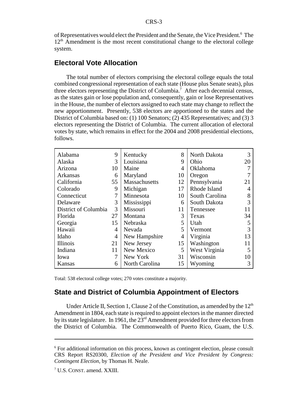of Representatives would elect the President and the Senate, the Vice President.<sup>6</sup> The  $12<sup>th</sup>$  Amendment is the most recent constitutional change to the electoral college system.

# **Electoral Vote Allocation**

The total number of electors comprising the electoral college equals the total combined congressional representation of each state (House plus Senate seats), plus three electors representing the District of Columbia.<sup>7</sup> After each decennial census, as the states gain or lose population and, consequently, gain or lose Representatives in the House, the number of electors assigned to each state may change to reflect the new apportionment. Presently, 538 electors are apportioned to the states and the District of Columbia based on: (1) 100 Senators; (2) 435 Representatives; and (3) 3 electors representing the District of Columbia. The current allocation of electoral votes by state, which remains in effect for the 2004 and 2008 presidential elections, follows.

| Alabama              | 9  | Kentucky             | 8  | North Dakota   | 3  |
|----------------------|----|----------------------|----|----------------|----|
| Alaska               | 3  | Louisiana            | 9  | Ohio           | 20 |
| Arizona              | 10 | Maine                | 4  | Oklahoma       |    |
| Arkansas             | 6  | Maryland             | 10 | Oregon         |    |
| California           | 55 | <b>Massachusetts</b> | 12 | Pennsylvania   | 21 |
| Colorado             | 9  | Michigan             | 17 | Rhode Island   |    |
| Connecticut          |    | Minnesota            | 10 | South Carolina |    |
| Delaware             | 3  | Mississippi          | 6  | South Dakota   |    |
| District of Columbia | 3  | Missouri             | 11 | Tennessee      |    |
| Florida              | 27 | Montana              | 3  | Texas          | 34 |
| Georgia              | 15 | Nebraska             | 5  | Utah           | 5  |
| Hawaii               | 4  | Nevada               | 5  | Vermont        |    |
| Idaho                | 4  | New Hampshire        | 4  | Virginia       | 13 |
| <b>Illinois</b>      | 21 | New Jersey           | 15 | Washington     | 11 |
| Indiana              | 11 | New Mexico           | 5  | West Virginia  |    |
| Iowa                 | 7  | New York             | 31 | Wisconsin      | 10 |
| <b>Kansas</b>        | 6  | North Carolina       | 15 | Wyoming        | 3  |

Total: 538 electoral college votes; 270 votes constitute a majority.

# **State and District of Columbia Appointment of Electors**

Under Article II, Section 1, Clause 2 of the Constitution, as amended by the  $12<sup>th</sup>$ Amendment in 1804, each state is required to appoint electors in the manner directed by its state legislature. In 1961, the  $23<sup>rd</sup>$  Amendment provided for three electors from the District of Columbia. The Commonwealth of Puerto Rico, Guam, the U.S.

<sup>&</sup>lt;sup>6</sup> For additional information on this process, known as contingent election, please consult CRS Report RS20300, *Election of the President and Vice President by Congress: Contingent Election*, by Thomas H. Neale.

<sup>7</sup> U.S. CONST. amend. XXIII.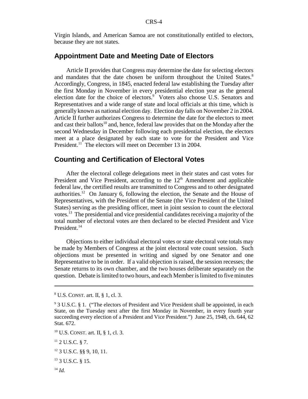Virgin Islands, and American Samoa are not constitutionally entitled to electors, because they are not states.

# **Appointment Date and Meeting Date of Electors**

Article II provides that Congress may determine the date for selecting electors and mandates that the date chosen be uniform throughout the United States. $8$ Accordingly, Congress, in 1845, enacted federal law establishing the Tuesday after the first Monday in November in every presidential election year as the general election date for the choice of electors.<sup>9</sup> Voters also choose U.S. Senators and Representatives and a wide range of state and local officials at this time, which is generally known as national election day. Election day falls on November 2 in 2004. Article II further authorizes Congress to determine the date for the electors to meet and cast their ballots<sup>10</sup> and, hence, federal law provides that on the Monday after the second Wednesday in December following each presidential election, the electors meet at a place designated by each state to vote for the President and Vice President.<sup>11</sup> The electors will meet on December 13 in 2004.

# **Counting and Certification of Electoral Votes**

After the electoral college delegations meet in their states and cast votes for President and Vice President, according to the  $12<sup>th</sup>$  Amendment and applicable federal law, the certified results are transmitted to Congress and to other designated authorities.<sup>12</sup> On January 6, following the election, the Senate and the House of Representatives, with the President of the Senate (the Vice President of the United States) serving as the presiding officer, meet in joint session to count the electoral votes.13 The presidential and vice presidential candidates receiving a majority of the total number of electoral votes are then declared to be elected President and Vice President.<sup>14</sup>

Objections to either individual electoral votes or state electoral vote totals may be made by Members of Congress at the joint electoral vote count session. Such objections must be presented in writing and signed by one Senator and one Representative to be in order. If a valid objection is raised, the session recesses; the Senate returns to its own chamber, and the two houses deliberate separately on the question. Debate is limited to two hours, and each Member is limited to five minutes

<sup>8</sup> U.S. CONST. art. II, § 1, cl. 3.

<sup>&</sup>lt;sup>9</sup> 3 U.S.C. § 1. ("The electors of President and Vice President shall be appointed, in each State, on the Tuesday next after the first Monday in November, in every fourth year succeeding every election of a President and Vice President.") June 25, 1948, ch. 644, 62 Stat. 672.

 $10$  U.S. CONST. art. II, § 1, cl. 3.

 $11$  2 U.S.C. § 7.

<sup>12 3</sup> U.S.C. §§ 9, 10, 11.

 $13$  3 U.S.C.  $8$  15.

<sup>14</sup> *Id.*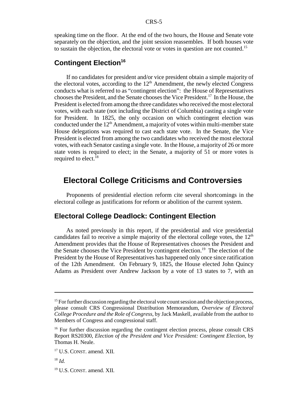speaking time on the floor. At the end of the two hours, the House and Senate vote separately on the objection, and the joint session reassembles. If both houses vote to sustain the objection, the electoral vote or votes in question are not counted.<sup>15</sup>

# **Contingent Election<sup>16</sup>**

If no candidates for president and/or vice president obtain a simple majority of the electoral votes, according to the  $12<sup>th</sup>$  Amendment, the newly elected Congress conducts what is referred to as "contingent election": the House of Representatives chooses the President, and the Senate chooses the Vice President.17 In the House, the President is elected from among the three candidates who received the most electoral votes, with each state (not including the District of Columbia) casting a single vote for President. In 1825, the only occasion on which contingent election was conducted under the  $12<sup>th</sup>$  Amendment, a majority of votes within multi-member state House delegations was required to cast each state vote. In the Senate, the Vice President is elected from among the two candidates who received the most electoral votes, with each Senator casting a single vote. In the House, a majority of 26 or more state votes is required to elect; in the Senate, a majority of 51 or more votes is required to elect.<sup>18</sup>

# **Electoral College Criticisms and Controversies**

Proponents of presidential election reform cite several shortcomings in the electoral college as justifications for reform or abolition of the current system.

## **Electoral College Deadlock: Contingent Election**

As noted previously in this report, if the presidential and vice presidential candidates fail to receive a simple majority of the electoral college votes, the  $12<sup>th</sup>$ Amendment provides that the House of Representatives chooses the President and the Senate chooses the Vice President by contingent election.<sup>19</sup> The election of the President by the House of Representatives has happened only once since ratification of the 12th Amendment. On February 9, 1825, the House elected John Quincy Adams as President over Andrew Jackson by a vote of 13 states to 7, with an

 $<sup>15</sup>$  For further discussion regarding the electoral vote count session and the objection process,</sup> please consult CRS Congressional Distribution Memorandum, *Overview of Electoral College Procedure and the Role of Congress*, by Jack Maskell, available from the author to Members of Congress and congressional staff.

<sup>&</sup>lt;sup>16</sup> For further discussion regarding the contingent election process, please consult CRS Report RS20300, *Election of the President and Vice President: Contingent Election*, by Thomas H. Neale.

<sup>&</sup>lt;sup>17</sup> U.S. CONST. amend. XII.

<sup>18</sup> *Id.*

<sup>&</sup>lt;sup>19</sup> U.S. CONST. amend. XII.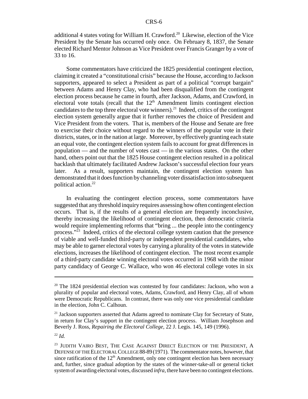additional 4 states voting for William H. Crawford.<sup>20</sup> Likewise, election of the Vice President by the Senate has occurred only once. On February 8, 1837, the Senate elected Richard Mentor Johnson as Vice President over Francis Granger by a vote of 33 to 16.

Some commentators have criticized the 1825 presidential contingent election, claiming it created a "constitutional crisis" because the House, according to Jackson supporters, appeared to select a President as part of a political "corrupt bargain" between Adams and Henry Clay, who had been disqualified from the contingent election process because he came in fourth, after Jackson, Adams, and Crawford, in electoral vote totals (recall that the  $12<sup>th</sup>$  Amendment limits contingent election candidates to the top three electoral vote winners).<sup>21</sup> Indeed, critics of the contingent election system generally argue that it further removes the choice of President and Vice President from the voters. That is, members of the House and Senate are free to exercise their choice without regard to the winners of the popular vote in their districts, states, or in the nation at large. Moreover, by effectively granting each state an equal vote, the contingent election system fails to account for great differences in population — and the number of votes cast — in the various states. On the other hand, others point out that the 1825 House contingent election resulted in a political backlash that ultimately facilitated Andrew Jackson's successful election four years later. As a result, supporters maintain, the contingent election system has demonstrated that it does function by channeling voter dissatisfaction into subsequent political action.22

In evaluating the contingent election process, some commentators have suggested that any threshold inquiry requires assessing how often contingent election occurs. That is, if the results of a general election are frequently inconclusive, thereby increasing the likelihood of contingent election, then democratic criteria would require implementing reforms that "bring ... the people into the contingency process."<sup>23</sup> Indeed, critics of the electoral college system caution that the presence of viable and well-funded third-party or independent presidential candidates, who may be able to garner electoral votes by carrying a plurality of the votes in statewide elections, increases the likelihood of contingent election. The most recent example of a third-party candidate winning electoral votes occurred in 1968 with the minor party candidacy of George C. Wallace, who won 46 electoral college votes in six

 $20$  The 1824 presidential election was contested by four candidates: Jackson, who won a plurality of popular and electoral votes, Adams, Crawford, and Henry Clay, all of whom were Democratic Republicans. In contrast, there was only one vice presidential candidate in the election, John C. Calhoun.

 $21$  Jackson supporters asserted that Adams agreed to nominate Clay for Secretary of State, in return for Clay's support in the contingent election process. William Josephson and Beverly J. Ross, *Repairing the Electoral College,* 22 J. Legis. 145, 149 (1996).

<sup>22</sup> *Id.*

<sup>&</sup>lt;sup>23</sup> JUDITH VAIRO BEST, THE CASE AGAINST DIRECT ELECTION OF THE PRESIDENT, A DEFENSE OF THE ELECTORAL COLLEGE 88-89 (1971). The commentator notes, however, that since ratification of the  $12<sup>th</sup>$  Amendment, only one contingent election has been necessary and, further, since gradual adoption by the states of the winner-take-all or general ticket system of awarding electoral votes, discussed *infra,* there have been no contingent elections.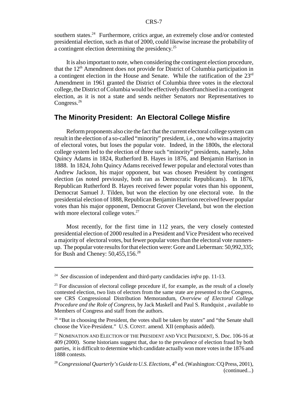southern states.<sup>24</sup> Furthermore, critics argue, an extremely close and/or contested presidential election, such as that of 2000, could likewise increase the probability of a contingent election determining the presidency.25

It is also important to note, when considering the contingent election procedure, that the 12th Amendment does not provide for District of Columbia participation in a contingent election in the House and Senate. While the ratification of the 23rd Amendment in 1961 granted the District of Columbia three votes in the electoral college, the District of Columbia would be effectively disenfranchised in a contingent election, as it is not a state and sends neither Senators nor Representatives to Congress.<sup>26</sup>

# **The Minority President: An Electoral College Misfire**

Reform proponents also cite the fact that the current electoral college system can result in the election of a so-called "minority" president, i.e., one who wins a majority of electoral votes, but loses the popular vote. Indeed, in the 1800s, the electoral college system led to the election of three such "minority" presidents, namely, John Quincy Adams in 1824, Rutherford B. Hayes in 1876, and Benjamin Harrison in 1888. In 1824, John Quincy Adams received fewer popular and electoral votes than Andrew Jackson, his major opponent, but was chosen President by contingent election (as noted previously, both ran as Democratic Republicans). In 1876, Republican Rutherford B. Hayes received fewer popular votes than his opponent, Democrat Samuel J. Tilden, but won the election by one electoral vote. In the presidential election of 1888, Republican Benjamin Harrison received fewer popular votes than his major opponent, Democrat Grover Cleveland, but won the election with more electoral college votes. $27$ 

Most recently, for the first time in 112 years, the very closely contested presidential election of 2000 resulted in a President and Vice President who received a majority of electoral votes, but fewer popular votes than the electoral vote runnersup. The popular vote results for that election were: Gore and Lieberman: 50,992,335; for Bush and Cheney: 50,455,156.28

<sup>24</sup> *See* discussion of independent and third-party candidacies *infra* pp. 11-13.

 $25$  For discussion of electoral college procedure if, for example, as the result of a closely contested election, two lists of electors from the same state are presented to the Congress, see CRS Congressional Distribution Memorandum, *Overview of Electoral College Procedure and the Role of Congress*, by Jack Maskell and Paul S. Rundquist , available to Members of Congress and staff from the authors.

<sup>26 &</sup>quot;But in choosing the President, the votes shall be taken by *states*" and "the Senate shall choose the Vice-President." U.S. CONST. amend. XII (emphasis added).

 $^{27}$  NOMINATION AND ELECTION OF THE PRESIDENT AND VICE PRESIDENT, S. Doc. 106-16 at 409 (2000). Some historians suggest that, due to the prevalence of election fraud by both parties, it is difficult to determine which candidate actually won more votes in the 1876 and 1888 contests.

<sup>&</sup>lt;sup>28</sup> Congressional Quarterly's Guide to U.S. Elections, 4<sup>th</sup> ed. (Washington: CQ Press, 2001), (continued...)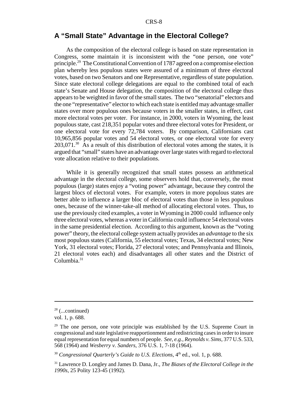# **A "Small State" Advantage in the Electoral College?**

As the composition of the electoral college is based on state representation in Congress, some maintain it is inconsistent with the "one person, one vote" principle.29 The Constitutional Convention of 1787 agreed on a compromise election plan whereby less populous states were assured of a minimum of three electoral votes, based on two Senators and one Representative, regardless of state population. Since state electoral college delegations are equal to the combined total of each state's Senate and House delegation, the composition of the electoral college thus appears to be weighted in favor of the small states. The two "senatorial" electors and the one "representative" elector to which each state is entitled may advantage smaller states over more populous ones because voters in the smaller states, in effect, cast more electoral votes per voter. For instance, in 2000, voters in Wyoming, the least populous state, cast 218,351 popular votes and three electoral votes for President, or one electoral vote for every 72,784 voters. By comparison, Californians cast 10,965,856 popular votes and 54 electoral votes, or one electoral vote for every  $203,071$ <sup>30</sup> As a result of this distribution of electoral votes among the states, it is argued that "small" states have an advantage over large states with regard to electoral vote allocation relative to their populations.

While it is generally recognized that small states possess an arithmetical advantage in the electoral college, some observers hold that, conversely, the most populous (large) states enjoy a "voting power" advantage, because they control the largest blocs of electoral votes. For example, voters in more populous states are better able to influence a larger bloc of electoral votes than those in less populous ones, because of the winner-take-all method of allocating electoral votes. Thus, to use the previously cited examples, a voter in Wyoming in 2000 could influence only three electoral votes, whereas a voter in California could influence 54 electoral votes in the same presidential election. According to this argument, known as the "voting power" theory, the electoral college system actually provides an *advantage* to the six most populous states (California, 55 electoral votes; Texas, 34 electoral votes; New York, 31 electoral votes; Florida, 27 electoral votes; and Pennsylvania and Illinois, 21 electoral votes each) and disadvantages all other states and the District of Columbia.<sup>31</sup>

 $28$  (...continued)

vol. 1, p. 688.

 $29$  The one person, one vote principle was established by the U.S. Supreme Court in congressional and state legislative reapportionment and redistricting cases in order to insure equal representation for equal numbers of people. *See, e.g., Reynolds v. Sims,* 377 U.S. 533, 568 (1964) and *Wesberry v. Sanders,* 376 U.S. 1, 7-18 (1964).

<sup>&</sup>lt;sup>30</sup> Congressional Quarterly's Guide to U.S. Elections, 4<sup>th</sup> ed., vol. 1, p. 688.

<sup>31</sup> Lawrence D. Longley and James D. Dana, Jr., *The Biases of the Electoral College in the 1990s,* 25 Polity 123-45 (1992).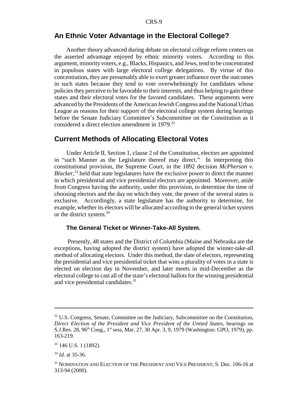# **An Ethnic Voter Advantage in the Electoral College?**

Another theory advanced during debate on electoral college reform centers on the asserted advantage enjoyed by ethnic minority voters. According to this argument, minority voters, e.g., Blacks, Hispanics, and Jews, tend to be concentrated in populous states with large electoral college delegations. By virtue of this concentration, they are presumably able to exert greater influence over the outcomes in such states because they tend to vote overwhelmingly for candidates whose policies they perceive to be favorable to their interests, and thus helping to gain these states and their electoral votes for the favored candidates. These arguments were advanced by the Presidents of the American Jewish Congress and the National Urban League as reasons for their support of the electoral college system during hearings before the Senate Judiciary Committee's Subcommittee on the Constitution as it considered a direct election amendment in 1979.<sup>32</sup>

### **Current Methods of Allocating Electoral Votes**

Under Article II, Section 1, clause 2 of the Constitution, electors are appointed in "such Manner as the Legislature thereof may direct." In interpreting this constitutional provision, the Supreme Court, in the 1892 decision *McPherson v. Blacker,*33 held that state legislatures have the exclusive power to direct the manner in which presidential and vice presidential electors are appointed. Moreover, aside from Congress having the authority, under this provision, to determine the time of choosing electors and the day on which they vote, the power of the several states is exclusive. Accordingly, a state legislature has the authority to determine, for example, whether its electors will be allocated according to the general ticket system or the district system.34

#### **The General Ticket or Winner-Take-All System.**

 Presently, 48 states and the District of Columbia (Maine and Nebraska are the exceptions, having adopted the district system) have adopted the winner-take-all method of allocating electors. Under this method, the slate of electors, representing the presidential and vice presidential ticket that wins a plurality of votes in a state is elected on election day in November, and later meets in mid-December as the electoral college to cast all of the state's electoral ballots for the winning presidential and vice presidential candidates.<sup>35</sup>

 $32$  U.S. Congress, Senate, Committee on the Judiciary, Subcommittee on the Constitution, *Direct Election of the President and Vice President of the United States*, hearings on S.J.Res. 28, 96<sup>th</sup> Cong., 1<sup>st</sup> sess, Mar. 27, 30 Apr. 3, 9, 1979 (Washington: GPO, 1979), pp. 163-219.

<sup>33 146</sup> U.S. 1 (1892).

<sup>34</sup> *Id.* at 35-36.

<sup>&</sup>lt;sup>35</sup> NOMINATION AND ELECTION OF THE PRESIDENT AND VICE PRESIDENT, S. Doc. 106-16 at 313-94 (2000).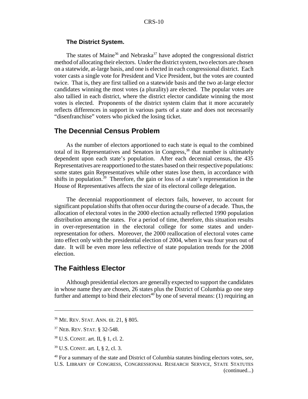#### **The District System.**

The states of Maine<sup>36</sup> and Nebraska<sup>37</sup> have adopted the congressional district method of allocating their electors. Under the district system, two electors are chosen on a statewide, at-large basis, and one is elected in each congressional district. Each voter casts a single vote for President and Vice President, but the votes are counted twice. That is, they are first tallied on a statewide basis and the two at-large elector candidates winning the most votes (a plurality) are elected. The popular votes are also tallied in each district, where the district elector candidate winning the most votes is elected. Proponents of the district system claim that it more accurately reflects differences in support in various parts of a state and does not necessarily "disenfranchise" voters who picked the losing ticket.

# **The Decennial Census Problem**

As the number of electors apportioned to each state is equal to the combined total of its Representatives and Senators in Congress,<sup>38</sup> that number is ultimately dependent upon each state's population. After each decennial census, the 435 Representatives are reapportioned to the states based on their respective populations: some states gain Representatives while other states lose them, in accordance with shifts in population.<sup>39</sup> Therefore, the gain or loss of a state's representation in the House of Representatives affects the size of its electoral college delegation.

The decennial reapportionment of electors fails, however, to account for significant population shifts that often occur during the course of a decade. Thus, the allocation of electoral votes in the 2000 election actually reflected 1990 population distribution among the states. For a period of time, therefore, this situation results in over-representation in the electoral college for some states and underrepresentation for others. Moreover, the 2000 reallocation of electoral votes came into effect only with the presidential election of 2004, when it was four years out of date. It will be even more less reflective of state population trends for the 2008 election.

# **The Faithless Elector**

Although presidential electors are generally expected to support the candidates in whose name they are chosen, 26 states plus the District of Columbia go one step further and attempt to bind their electors<sup>40</sup> by one of several means: (1) requiring an

<sup>36</sup> ME. REV. STAT. ANN. tit. 21, § 805.

<sup>37</sup> NEB. REV. STAT. § 32-548.

<sup>38</sup> U.S. CONST. art. II, § 1, cl. 2.

<sup>39</sup> U.S. CONST. art. I, § 2, cl. 3.

<sup>40</sup> For a summary of the state and District of Columbia statutes binding electors votes, *see,* U.S. LIBRARY OF CONGRESS, CONGRESSIONAL RESEARCH SERVICE, STATE STATUTES (continued...)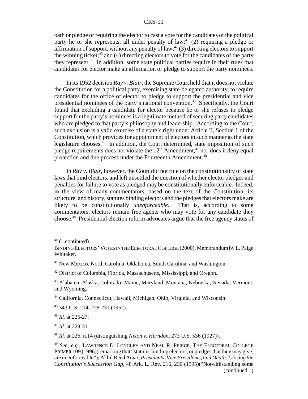oath or pledge or requiring the elector to cast a vote for the candidates of the political party he or she represents, all under penalty of law;<sup>41</sup> (2) requiring a pledge or affirmation of support, without any penalty of law;<sup>42</sup> (3) directing electors to support the winning ticket; $43$  and (4) directing electors to vote for the candidates of the party they represent.44 In addition, some state political parties require in their rules that candidates for elector make an affirmation or pledge to support the party nominees.

In its 1952 decision *Ray v. Blair,* the Supreme Court held that it does not violate the Constitution for a political party, exercising state-delegated authority, to require candidates for the office of elector to pledge to support the presidential and vice presidential nominees of the party's national convention.<sup>45</sup> Specifically, the Court found that excluding a candidate for elector because he or she refuses to pledge support for the party's nominees is a legitimate method of securing party candidates who are pledged to that party's philosophy and leadership. According to the Court, such exclusion is a valid exercise of a state's right under Article II, Section 1 of the Constitution, which provides for appointment of electors in such manner as the state legislature chooses. $46$  In addition, the Court determined, state imposition of such pledge requirements does not violate the  $12<sup>th</sup>$  Amendment,<sup>47</sup> nor does it deny equal protection and due process under the Fourteenth Amendment.<sup>48</sup>

In *Ray v. Blair,* however, the Court did not rule on the constitutionality of state laws that bind electors, and left unsettled the question of whether elector pledges and penalties for failure to vote as pledged may be constitutionally enforceable. Indeed, in the view of many commentators, based on the text of the Constitution, its structure, and history, statutes binding electors and the pledges that electors make are likely to be constitutionally *unenforceable*. That is, according to some commentators, electors remain free agents who may vote for any candidate they choose.49 Presidential election reform advocates argue that the free agency status of

<sup>46</sup> *Id.* at 225-27.

 $40$  (...continued)

BINDING ELECTORS'VOTES IN THE ELECTORAL COLLEGE (2000), Memorandum by L. Paige Whitaker.

<sup>&</sup>lt;sup>41</sup> New Mexico, North Carolina, Oklahoma, South Carolina, and Washington.

<sup>&</sup>lt;sup>42</sup> District of Columbia, Florida, Massachusetts, Mississippi, and Oregon.

<sup>43</sup> Alabama, Alaska, Colorado, Maine, Maryland, Montana, Nebraska, Nevada, Vermont, and Wyoming.

<sup>44</sup> California, Connecticut, Hawaii, Michigan, Ohio, Virginia, and Wisconsin.

<sup>45 343</sup> U.S. 214, 228-231 (1952).

<sup>47</sup> *Id.* at 228-31.

<sup>48</sup> *Id.* at 226, n.14 (distinguishing *Nixon v. Herndon,* 273 U.S. 536 (1927)).

<sup>49</sup> *See, e.g.,* LAWRENCE D. LONGLEY AND NEAL R. PEIRCE, THE ELECTORAL COLLEGE PRIMER 109 (1996)(remarking that "statutes binding electors, or pledges that they may give, are unenforceable"); Akhil Reed Amar, *Presidents, Vice Presidents, and Death: Closing the Constitution's Succession Gap,* 48 Ark. L. Rev. 215, 230 (1995)("Notwithstanding some (continued...)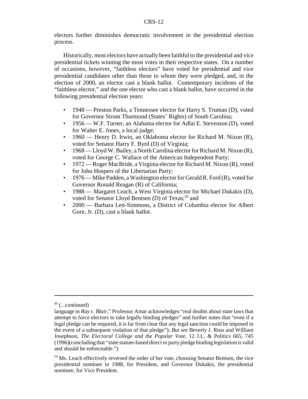electors further diminishes democratic involvement in the presidential election process.

Historically, most electors have actually been faithful to the presidential and vice presidential tickets winning the most votes in their respective states. On a number of occasions, however, "faithless electors" have voted for presidential and vice presidential candidates other than those to whom they were pledged, and, in the election of 2000, an elector cast a blank ballot. Contemporary incidents of the "faithless elector," and the one elector who cast a blank ballot, have occurred in the following presidential election years:

- 1948 Preston Parks, a Tennessee elector for Harry S. Truman (D), voted for Governor Strom Thurmond (States' Rights) of South Carolina;
- 1956 W.F. Turner, an Alabama elector for Adlai E. Stevenson (D), voted for Walter E. Jones, a local judge;
- 1960 Henry D. Irwin, an Oklahoma elector for Richard M. Nixon (R), voted for Senator Harry F. Byrd (D) of Virginia;
- 1968 Lloyd W. Bailey, a North Carolina elector for Richard M. Nixon (R), voted for George C. Wallace of the American Independent Party;
- 1972 Roger MacBride, a Virginia elector for Richard M. Nixon (R), voted for John Hospers of the Libertarian Party;
- 1976 Mike Padden, a Washington elector for Gerald R. Ford  $(R)$ , voted for Governor Ronald Reagan (R) of California;
- 1988 Margaret Leach, a West Virginia elector for Michael Dukakis (D), voted for Senator Lloyd Bentsen (D) of  $Texas$ ;<sup>50</sup> and
- 2000 Barbara Lett-Simmons, a District of Columbia elector for Albert Gore, Jr. (D), cast a blank ballot.

 $49$  (...continued)

language in *Ray v. Blair,*" Professor Amar acknowledges "real doubts about state laws that attempt to force electors to take legally binding pledges" and further notes that "even if a legal pledge can be required, it is far from clear that any legal sanction could be imposed in the event of a subsequent violation of that pledge"); *But see* Beverly J. Ross and William Josephson, *The Electoral College and the Popular Vote,* 12 J.L. & Politics 665, 745 (1996)(concluding that "state statute-based direct or party pledge binding legislation is valid and should be enforceable.")

 $50$  Ms. Leach effectively reversed the order of her vote, choosing Senator Bentsen, the vice presidential nominee in 1988, for President, and Governor Dukakis, the presidential nominee, for Vice President.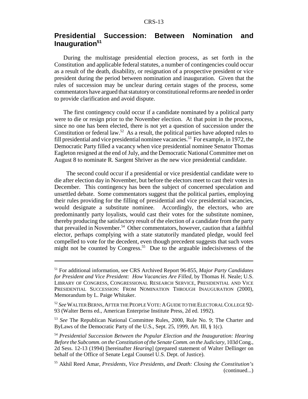# **Presidential Succession: Between Nomination and** Inauguration<sup>51</sup>

During the multistage presidential election process, as set forth in the Constitution and applicable federal statutes, a number of contingencies could occur as a result of the death, disability, or resignation of a prospective president or vice president during the period between nomination and inauguration. Given that the rules of succession may be unclear during certain stages of the process, some commentators have argued that statutory or constitutional reforms are needed in order to provide clarification and avoid dispute.

The first contingency could occur if a candidate nominated by a political party were to die or resign prior to the November election. At that point in the process, since no one has been elected, there is not yet a question of succession under the Constitution or federal law.<sup>52</sup> As a result, the political parties have adopted rules to fill presidential and vice presidential nominee vacancies.<sup>53</sup> For example, in 1972, the Democratic Party filled a vacancy when vice presidential nominee Senator Thomas Eagleton resigned at the end of July, and the Democratic National Committee met on August 8 to nominate R. Sargent Shriver as the new vice presidential candidate.

 The second could occur if a presidential or vice presidential candidate were to die after election day in November, but before the electors meet to cast their votes in December. This contingency has been the subject of concerned speculation and unsettled debate. Some commentators suggest that the political parties, employing their rules providing for the filling of presidential and vice presidential vacancies, would designate a substitute nominee. Accordingly, the electors, who are predominantly party loyalists, would cast their votes for the substitute nominee, thereby producing the satisfactory result of the election of a candidate from the party that prevailed in November.<sup>54</sup> Other commentators, however, caution that a faithful elector, perhaps complying with a state statutorily mandated pledge, would feel compelled to vote for the decedent, even though precedent suggests that such votes might not be counted by Congress.<sup>55</sup> Due to the arguable indecisiveness of the

<sup>51</sup> For additional information, see CRS Archived Report 96-855, *Major Party Candidates for President and Vice President: How Vacancies Are Filled,* by Thomas H. Neale; U.S. LIBRARY OF CONGRESS, CONGRESSIONAL RESEARCH SERVICE, PRESIDENTIAL AND VICE PRESIDENTIAL SUCCESSION: FROM NOMINATION THROUGH INAUGURATION (2000), Memorandum by L. Paige Whitaker.

<sup>52</sup> *See* WALTER BERNS,AFTER THE PEOPLE VOTE:AGUIDE TO THE ELECTORAL COLLEGE 92- 93 (Walter Berns ed., American Enterprise Institute Press, 2d ed. 1992).

<sup>53</sup> *See* The Republican National Committee Rules, 2000, Rule No. 9; The Charter and ByLaws of the Democratic Party of the U.S., Sept. 25, 1999, Art. III, § 1(c).

<sup>54</sup> *Presidential Succession Between the Popular Election and the Inauguration: Hearing Before the Subcomm. on the Constitution of the Senate Comm. on the Judiciary,* 103d Cong., 2d Sess. 12-13 (1994) [hereinafter *Hearing*] (prepared statement of Walter Dellinger on behalf of the Office of Senate Legal Counsel U.S. Dept. of Justice).

<sup>55</sup> Akhil Reed Amar, *Presidents, Vice Presidents, and Death: Closing the Constitution's* (continued...)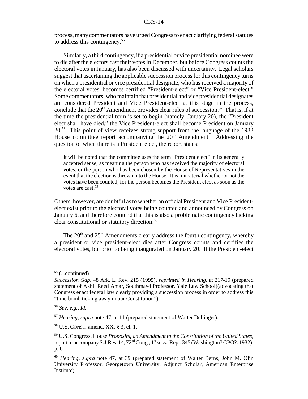process, many commentators have urged Congress to enact clarifying federal statutes to address this contingency.56

Similarly, a third contingency, if a presidential or vice presidential nominee were to die after the electors cast their votes in December, but before Congress counts the electoral votes in January, has also been discussed with uncertainty. Legal scholars suggest that ascertaining the applicable succession process for this contingency turns on when a presidential or vice presidential designate, who has received a majority of the electoral votes, becomes certified "President-elect" or "Vice President-elect." Some commentators, who maintain that presidential and vice presidential designates are considered President and Vice President-elect at this stage in the process, conclude that the  $20<sup>th</sup>$  Amendment provides clear rules of succession.<sup>57</sup> That is, if at the time the presidential term is set to begin (namely, January 20), the "President elect shall have died," the Vice President-elect shall become President on January 20.58 This point of view receives strong support from the language of the 1932 House committee report accompanying the  $20<sup>th</sup>$  Amendment. Addressing the question of when there is a President elect, the report states:

It will be noted that the committee uses the term "President elect" in its generally accepted sense, as meaning the person who has received the majority of electoral votes, or the person who has been chosen by the House of Representatives in the event that the election is thrown into the House. It is immaterial whether or not the votes have been counted, for the person becomes the President elect as soon as the votes are cast.<sup>59</sup>

Others, however, are doubtful as to whether an official President and Vice Presidentelect exist prior to the electoral votes being counted and announced by Congress on January 6, and therefore contend that this is also a problematic contingency lacking clear constitutional or statutory direction.<sup>60</sup>

The  $20<sup>th</sup>$  and  $25<sup>th</sup>$  Amendments clearly address the fourth contingency, whereby a president or vice president-elect dies after Congress counts and certifies the electoral votes, but prior to being inaugurated on January 20. If the President-elect

 $55$  (...continued)

*Succession Gap,* 48 Ark. L. Rev. 215 (1995), *reprinted in Hearing,* at 217-19 (prepared statement of Akhil Reed Amar, Southmayd Professor, Yale Law School)(advocating that Congress enact federal law clearly providing a succession process in order to address this "time bomb ticking away in our Constitution").

<sup>56</sup> *See, e.g., Id.*

<sup>57</sup> *Hearing, supra* note 47, at 11 (prepared statement of Walter Dellinger).

 $58$  U.S. CONST. amend. XX, § 3, cl. 1.

<sup>59</sup> U.S. Congress, House *Proposing an Amendment to the Constitution of the United States*, report to accompany S.J.Res. 14, 72<sup>nd</sup> Cong., 1<sup>st</sup> sess., Rept. 345 (Washington? GPO?: 1932), p. 6.

<sup>60</sup> *Hearing, supra* note 47, at 39 (prepared statement of Walter Berns, John M. Olin University Professor, Georgetown University; Adjunct Scholar, American Enterprise Institute).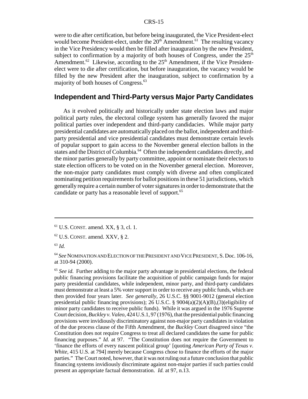were to die after certification, but before being inaugurated, the Vice President-elect would become President-elect, under the  $20<sup>th</sup>$  Amendment.<sup>61</sup> The resulting vacancy in the Vice Presidency would then be filled after inauguration by the new President, subject to confirmation by a majority of both houses of Congress, under the  $25<sup>th</sup>$ Amendment.<sup>62</sup> Likewise, according to the  $25<sup>th</sup>$  Amendment, if the Vice Presidentelect were to die after certification, but before inauguration, the vacancy would be filled by the new President after the inauguration, subject to confirmation by a majority of both houses of Congress.<sup>63</sup>

# **Independent and Third-Party versus Major Party Candidates**

As it evolved politically and historically under state election laws and major political party rules, the electoral college system has generally favored the major political parties over independent and third-party candidacies. While major party presidential candidates are automatically placed on the ballot, independent and thirdparty presidential and vice presidential candidates must demonstrate certain levels of popular support to gain access to the November general election ballots in the states and the District of Columbia.<sup>64</sup> Often the independent candidates directly, and the minor parties generally by party committee, appoint or nominate their electors to state election officers to be voted on in the November general election. Moreover, the non-major party candidates must comply with diverse and often complicated nominating petition requirements for ballot positions in these 51 jurisdictions, which generally require a certain number of voter signatures in order to demonstrate that the candidate or party has a reasonable level of support.<sup>65</sup>

<sup>65</sup> See id. Further adding to the major party advantage in presidential elections, the federal public financing provisions facilitate the acquisition of public campaign funds for major party presidential candidates, while independent, minor party, and third-party candidates must demonstrate at least a 5% voter support in order to receive any public funds, which are then provided four years later. *See generally,* 26 U.S.C. §§ 9001-9012 (general election presidential public financing provisions); 26 U.S.C. §  $9004(a)(2)(A)(B)$ ,(3)(eligibility of minor party candidates to receive public funds). While it was argued in the 1976 Supreme Court decision, *Buckley v. Valeo,* 424 U.S.1, 97 (1976), that the presidential public financing provisions were invidiously discriminatory against non-major party candidates in violation of the due process clause of the Fifth Amendment, the *Buckley* Court disagreed since "the Constitution does not require Congress to treat all declared candidates the same for public financing purposes." *Id.* at 97. "The Constitution does not require the Government to 'finance the efforts of every nascent political group' [quoting *American Party of Texas v. White,* 415 U.S. at 794] merely because Congress chose to finance the efforts of the major parties." The Court noted, however, that it was not ruling out a future conclusion that public financing systems invidiously discriminate against non-major parties if such parties could present an appropriate factual demonstration. *Id.* at 97, n.13.

 $61$  U.S. CONST. amend. XX, § 3, cl. 1.

 $62$  U.S. CONST. amend. XXV,  $\S$  2.

<sup>63</sup> *Id.*

<sup>64</sup> *See* NOMINATION AND ELECTION OF THE PRESIDENT AND VICE PRESIDENT, S. Doc. 106-16, at 310-94 (2000).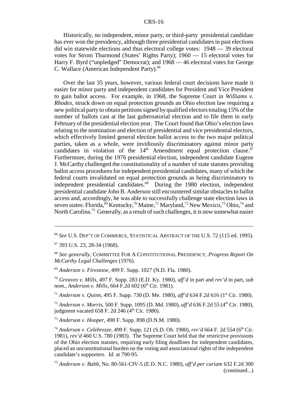Historically, no independent, minor party, or third-party presidential candidate has ever won the presidency, although three presidential candidates in past elections did win statewide elections and thus electoral college votes: 1948 — 39 electoral votes for Strom Thurmond (States' Rights Party); 1960 — 15 electoral votes for Harry F. Byrd ("unpledged" Democrat); and 1968 — 46 electoral votes for George C. Wallace (American Independent Party).<sup>66</sup>

Over the last 35 years, however, various federal court decisions have made it easier for minor party and independent candidates for President and Vice President to gain ballot access. For example, in 1968, the Supreme Court in *Williams v. Rhodes*, struck down on equal protection grounds an Ohio election law requiring a new political party to obtain petitions signed by qualified electors totaling 15% of the number of ballots cast at the last gubernatorial election and to file them in early February of the presidential election year. The Court found that Ohio's election laws relating to the nomination and election of presidential and vice presidential electors, which effectively limited general election ballot access to the two major political parties, taken as a whole, were invidiously discriminatory against minor party candidates in violation of the  $14<sup>th</sup>$  Amendment equal protection clause.<sup>67</sup> Furthermore, during the 1976 presidential election, independent candidate Eugene J. McCarthy challenged the constitutionality of a number of state statutes providing ballot access procedures for independent presidential candidates, many of which the federal courts invalidated on equal protection grounds as being discriminatory to independent presidential candidates.<sup>68</sup> During the 1980 election, independent presidential candidate John B. Anderson still encountered similar obstacles to ballot access and, accordingly, he was able to successfully challenge state election laws in seven states: Florida,  $69$  Kentucky,  $70$  Maine,  $71$  Maryland,  $72$  New Mexico,  $73$  Ohio,  $74$  and North Carolina.<sup>75</sup> Generally, as a result of such challenges, it is now somewhat easier

<sup>71</sup> *Anderson v. Quinn,* 495 F. Supp. 730 (D. Me. 1980), *aff'd* 634 F.2d 616 (1st Cir. 1980).

<sup>72</sup> *Anderson v. Morris,* 500 F. Supp. 1095 (D. Md. 1980), *aff'd* 636 F.2d 55 (4<sup>th</sup> Cir. 1980), judgment vacated 658 F. 2d 246  $(4<sup>th</sup> Cir. 1980)$ .

<sup>73</sup> *Anderson v. Hooper,* 498 F. Supp. 898 (D.N.M. 1980).

<sup>66</sup> *See* U.S. DEP'T OF COMMERCE, STATISTICAL ABSTRACT OF THE U.S. 72 (115 ed. 1995).

<sup>67 393</sup> U.S. 23, 28-34 (1968).

<sup>68</sup> *See generally,* COMMITTEE FOR A CONSTITUTIONAL PRESIDENCY, *Progress Report On McCarthy Legal Challenges* (1976).

<sup>69</sup> *Anderson v. Firestone,* 499 F. Supp. 1027 (N.D. Fla. 1980).

<sup>70</sup> *Greaves v. Mills,* 497 F. Supp. 283 (E.D. Ky. 1980), *aff'd* in part and *rev'd* in part, *sub nom., Anderson v. Mills, 664* F.2d 602 (6<sup>th</sup> Cir. 1981).

<sup>74</sup> *Anderson v. Celebrezze,* 499 F. Supp. 121 (S.D. Oh. 1980), *rev'd* 664 F. 2d 554 (6th Cir. 1981), *rev'd* 460 U.S. 780 (1983). The Supreme Court held that the restrictive provisions of the Ohio election statutes, requiring early filing deadlines for independent candidates, placed an unconstitutional burden on the voting and associational rights of the independent candidate's supporters. *Id.* at 790-95.

<sup>75</sup> *Anderson v. Babb,* No. 80-561-CIV-5 (E.D. N.C. 1980), *aff'd per curiam* 632 F.2d 300 (continued...)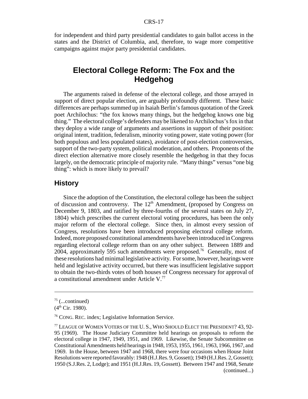for independent and third party presidential candidates to gain ballot access in the states and the District of Columbia, and, therefore, to wage more competitive campaigns against major party presidential candidates.

# **Electoral College Reform: The Fox and the Hedgehog**

The arguments raised in defense of the electoral college, and those arrayed in support of direct popular election, are arguably profoundly different. These basic differences are perhaps summed up in Isaiah Berlin's famous quotation of the Greek poet Archilochus: "the fox knows many things, but the hedgehog knows one big thing." The electoral college's defenders may be likened to Archilochus's fox in that they deploy a wide range of arguments and assertions in support of their position: original intent, tradition, federalism, minority voting power, state voting power (for both populous and less populated states), avoidance of post-election controversies, support of the two-party system, political moderation, and others. Proponents of the direct election alternative more closely resemble the hedgehog in that they focus largely, on the democratic principle of majority rule. "Many things" versus "one big thing": which is more likely to prevail?

### **History**

Since the adoption of the Constitution, the electoral college has been the subject of discussion and controversy. The  $12<sup>th</sup>$  Amendment, (proposed by Congress on December 9, 1803, and ratified by three-fourths of the several states on July 27, 1804) which prescribes the current electoral voting procedures, has been the only major reform of the electoral college. Since then, in almost every session of Congress, resolutions have been introduced proposing electoral college reform. Indeed, more proposed constitutional amendments have been introduced in Congress regarding electoral college reform than on any other subject. Between 1889 and 2004, approximately 595 such amendments were proposed.<sup>76</sup> Generally, most of these resolutions had minimal legislative activity. For some, however, hearings were held and legislative activity occurred, but there was insufficient legislative support to obtain the two-thirds votes of both houses of Congress necessary for approval of a constitutional amendment under Article V.77

 $75$  (...continued)

 $(4<sup>th</sup> Cir. 1980).$ 

<sup>76</sup> CONG. REC. index; Legislative Information Service.

<sup>77</sup> LEAGUE OF WOMEN VOTERS OF THE U. S., WHO SHOULD ELECT THE PRESIDENT? 43, 92- 95 (1969). The House Judiciary Committee held hearings on proposals to reform the electoral college in 1947, 1949, 1951, and 1969. Likewise, the Senate Subcommittee on Constitutional Amendments held hearings in 1948, 1953, 1955, 1961, 1963, 1966, 1967, and 1969. In the House, between 1947 and 1968, there were four occasions when House Joint Resolutions were reported favorably: 1948 (H.J.Res. 9, Gossett); 1949 (H.J.Res. 2, Gossett); 1950 (S.J.Res. 2, Lodge); and 1951 (H.J.Res. 19, Gossett). Between 1947 and 1968, Senate (continued...)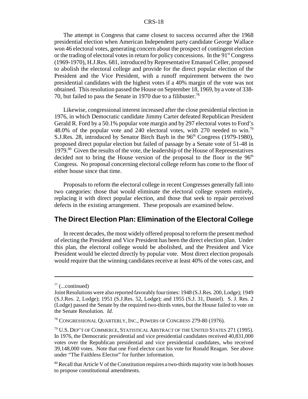The attempt in Congress that came closest to success occurred after the 1968 presidential election when American Independent party candidate George Wallace won 46 electoral votes, generating concern about the prospect of contingent election or the trading of electoral votes in return for policy concessions. In the  $91<sup>st</sup> Congress$ (1969-1970), H.J.Res. 681, introduced by Representative Emanuel Celler, proposed to abolish the electoral college and provide for the direct popular election of the President and the Vice President, with a runoff requirement between the two presidential candidates with the highest votes if a 40% margin of the vote was not obtained. This resolution passed the House on September 18, 1969, by a vote of 338- 70, but failed to pass the Senate in 1970 due to a filibuster.<sup>78</sup>

Likewise, congressional interest increased after the close presidential election in 1976, in which Democratic candidate Jimmy Carter defeated Republican President Gerald R. Ford by a 50.1% popular vote margin and by 297 electoral votes to Ford's 48.0% of the popular vote and 240 electoral votes, with 270 needed to win.<sup>79</sup> S.J.Res. 28, introduced by Senator Birch Bayh in the  $96<sup>th</sup>$  Congress (1979-1980), proposed direct popular election but failed of passage by a Senate vote of 51-48 in 1979.<sup>80</sup> Given the results of the vote, the leadership of the House of Representatives decided not to bring the House version of the proposal to the floor in the  $96<sup>th</sup>$ Congress. No proposal concerning electoral college reform has come to the floor of either house since that time.

Proposals to reform the electoral college in recent Congresses generally fall into two categories: those that would eliminate the electoral college system entirely, replacing it with direct popular election, and those that seek to repair perceived defects in the existing arrangement. These proposals are examined below.

# **The Direct Election Plan: Elimination of the Electoral College**

In recent decades, the most widely offered proposal to reform the present method of electing the President and Vice President has been the direct election plan. Under this plan, the electoral college would be abolished, and the President and Vice President would be elected directly by popular vote. Most direct election proposals would require that the winning candidates receive at least 40% of the votes cast, and

 $77$  (...continued)

Joint Resolutions were also reported favorably four times: 1948 (S.J.Res. 200, Lodge); 1949 (S.J.Res. 2, Lodge); 1951 (S.J.Res. 52, Lodge); and 1955 (S.J. 31, Daniel). S. J. Res. 2 (Lodge) passed the Senate by the required two-thirds votes, but the House failed to vote on the Senate Resolution. *Id.*

<sup>78</sup> CONGRESSIONAL QUARTERLY, INC., POWERS OF CONGRESS 279-80 (1976).

<sup>79</sup> U.S. DEP'T OF COMMERCE, STATISTICAL ABSTRACT OF THE UNITED STATES 271 (1995). In 1976, the Democratic presidential and vice presidential candidates received 40,831,000 votes over the Republican presidential and vice presidential candidates, who received 39,148,000 votes. Note that one Ford elector cast his vote for Ronald Reagan. See above under "The Faithless Elector" for further information.

<sup>&</sup>lt;sup>80</sup> Recall that Article V of the Constitution requires a two-thirds majority vote in both houses to propose constitutional amendments.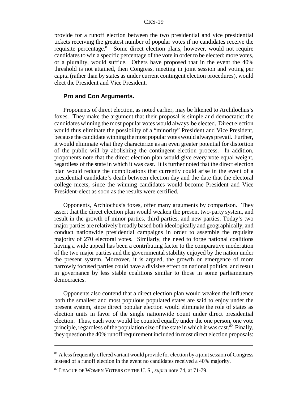provide for a runoff election between the two presidential and vice presidential tickets receiving the greatest number of popular votes if no candidates receive the requisite percentage. ${}^{81}$  Some direct election plans, however, would not require candidates to win a specific percentage of the vote in order to be elected: more votes, or a plurality, would suffice. Others have proposed that in the event the 40% threshold is not attained, then Congress, meeting in joint session and voting per capita (rather than by states as under current contingent election procedures), would elect the President and Vice President.

#### **Pro and Con Arguments.**

Proponents of direct election, as noted earlier, may be likened to Archilochus's foxes. They make the argument that their proposal is simple and democratic: the candidates winning the most popular votes would always be elected. Direct election would thus eliminate the possibility of a "minority" President and Vice President, because the candidate winning the most popular votes would always prevail. Further, it would eliminate what they characterize as an even greater potential for distortion of the public will by abolishing the contingent election process. In addition, proponents note that the direct election plan would give every vote equal weight, regardless of the state in which it was cast. It is further noted that the direct election plan would reduce the complications that currently could arise in the event of a presidential candidate's death between election day and the date that the electoral college meets, since the winning candidates would become President and Vice President-elect as soon as the results were certified.

Opponents, Archlochus's foxes, offer many arguments by comparison. They assert that the direct election plan would weaken the present two-party system, and result in the growth of minor parties, third parties, and new parties. Today's two major parties are relatively broadly based both ideologically and geographically, and conduct nationwide presidential campaigns in order to assemble the requisite majority of 270 electoral votes. Similarly, the need to forge national coalitions having a wide appeal has been a contributing factor to the comparative moderation of the two major parties and the governmental stability enjoyed by the nation under the present system. Moreover, it is argued, the growth or emergence of more narrowly focused parties could have a divisive effect on national politics, and result in governance by less stable coalitions similar to those in some parliamentary democracies.

Opponents also contend that a direct election plan would weaken the influence both the smallest and most populous populated states are said to enjoy under the present system, since direct popular election would eliminate the role of states as election units in favor of the single nationwide count under direct presidential election. Thus, each vote would be counted equally under the one person, one vote principle, regardless of the population size of the state in which it was cast.<sup>82</sup> Finally, they question the 40% runoff requirement included in most direct election proposals:

 $81$  A less frequently offered variant would provide for election by a joint session of Congress instead of a runoff election in the event no candidates received a 40% majority.

<sup>82</sup> LEAGUE OF WOMEN VOTERS OF THE U. S., *supra* note 74, at 71-79.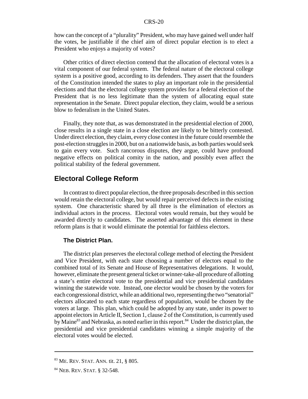how can the concept of a "plurality" President, who may have gained well under half the votes, be justifiable if the chief aim of direct popular election is to elect a President who enjoys a majority of votes?

Other critics of direct election contend that the allocation of electoral votes is a vital component of our federal system. The federal nature of the electoral college system is a positive good, according to its defenders. They assert that the founders of the Constitution intended the states to play an important role in the presidential elections and that the electoral college system provides for a federal election of the President that is no less legitimate than the system of allocating equal state representation in the Senate. Direct popular election, they claim, would be a serious blow to federalism in the United States.

Finally, they note that, as was demonstrated in the presidential election of 2000, close results in a single state in a close election are likely to be bitterly contested. Under direct election, they claim, every close contest in the future could resemble the post-election struggles in 2000, but on a nationwide basis, as both parties would seek to gain every vote. Such rancorous disputes, they argue, could have profound negative effects on political comity in the nation, and possibly even affect the political stability of the federal government.

# **Electoral College Reform**

In contrast to direct popular election, the three proposals described in this section would retain the electoral college, but would repair perceived defects in the existing system. One characteristic shared by all three is the elimination of electors as individual actors in the process. Electoral votes would remain, but they would be awarded directly to candidates. The asserted advantage of this element in these reform plans is that it would eliminate the potential for faithless electors.

#### **The District Plan.**

The district plan preserves the electoral college method of electing the President and Vice President, with each state choosing a number of electors equal to the combined total of its Senate and House of Representatives delegations. It would, however, eliminate the present general ticket or winner-take-all procedure of allotting a state's entire electoral vote to the presidential and vice presidential candidates winning the statewide vote. Instead, one elector would be chosen by the voters for each congressional district, while an additional two, representing the two "senatorial" electors allocated to each state regardless of population, would be chosen by the voters at large. This plan, which could be adopted by any state, under its power to appoint electors in Article II, Section 1, clause 2 of the Constitution, is currently used by Maine<sup>83</sup> and Nebraska, as noted earlier in this report.<sup>84</sup> Under the district plan, the presidential and vice presidential candidates winning a simple majority of the electoral votes would be elected.

<sup>83</sup> ME. REV. STAT. ANN. tit. 21, § 805.

<sup>84</sup> NEB. REV. STAT. § 32-548.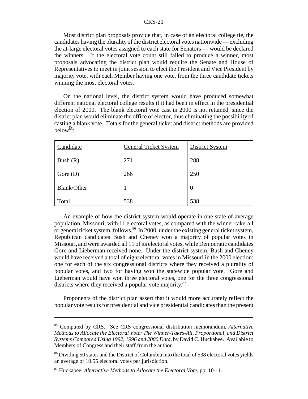Most district plan proposals provide that, in case of an electoral college tie, the candidates having the plurality of the district electoral votes nationwide — excluding the at-large electoral votes assigned to each state for Senators — would be declared the winners. If the electoral vote count still failed to produce a winner, most proposals advocating the district plan would require the Senate and House of Representatives to meet in joint session to elect the President and Vice President by majority vote, with each Member having one vote, from the three candidate tickets winning the most electoral votes.

On the national level, the district system would have produced somewhat different national electoral college results if it had been in effect in the presidential election of 2000. The blank electoral vote cast in 2000 is not retained, since the district plan would eliminate the office of elector, thus eliminating the possibility of casting a blank vote. Totals for the general ticket and district methods are provided  $below<sup>85</sup>$ :

| Candidate   | <b>General Ticket System</b> | <b>District System</b> |
|-------------|------------------------------|------------------------|
| Bush $(R)$  | 271                          | 288                    |
| Gore $(D)$  | 266                          | 250                    |
| Blank/Other | 1                            | $\boldsymbol{0}$       |
| Total       | 538                          | 538                    |

An example of how the district system would operate in one state of average population, Missouri, with 11 electoral votes, as compared with the winner-take-all or general ticket system, follows.<sup>86</sup> In 2000, under the existing general ticket system, Republican candidates Bush and Cheney won a majority of popular votes in Missouri, and were awarded all 11 of its electoral votes, while Democratic candidates Gore and Lieberman received none. Under the district system, Bush and Cheney would have received a total of eight electoral votes in Missouri in the 2000 election: one for each of the six congressional districts where they received a plurality of popular votes, and two for having won the statewide popular vote. Gore and Lieberman would have won three electoral votes, one for the three congressional districts where they received a popular vote majority.<sup>87</sup>

Proponents of the district plan assert that it would more accurately reflect the popular vote results for presidential and vice presidential candidates than the present

<sup>85</sup> Computed by CRS. See CRS congressional distribution memorandum, *Alternative Methods to Allocate the Electoral Vote: The Winner-Takes-All, Proportional, and District Systems Compared Using 1992, 1996 and 2000 Data*, by David C. Huckabee. Available to Members of Congress and their staff from the author.

<sup>&</sup>lt;sup>86</sup> Dividing 50 states and the District of Columbia into the total of 538 electoral votes yields an average of 10.55 electoral votes per jurisdiction.

<sup>87</sup> Huckabee, *Alternative Methods to Allocate the Electoral Vote*, pp. 10-11.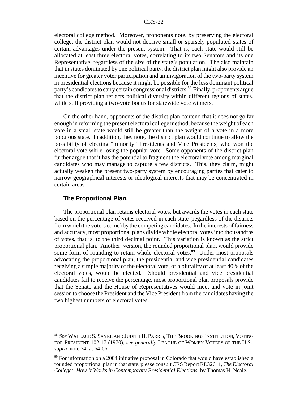electoral college method. Moreover, proponents note, by preserving the electoral college, the district plan would not deprive small or sparsely populated states of certain advantages under the present system. That is, each state would still be allocated at least three electoral votes, correlating to its two Senators and its one Representative, regardless of the size of the state's population. The also maintain that in states dominated by one political party, the district plan might also provide an incentive for greater voter participation and an invigoration of the two-party system in presidential elections because it might be possible for the less dominant political party's candidates to carry certain congressional districts.<sup>88</sup> Finally, proponents argue that the district plan reflects political diversity within different regions of states, while still providing a two-vote bonus for statewide vote winners.

On the other hand, opponents of the district plan contend that it does not go far enough in reforming the present electoral college method, because the weight of each vote in a small state would still be greater than the weight of a vote in a more populous state. In addition, they note, the district plan would continue to allow the possibility of electing "minority" Presidents and Vice Presidents, who won the electoral vote while losing the popular vote. Some opponents of the district plan further argue that it has the potential to fragment the electoral vote among marginal candidates who may manage to capture a few districts. This, they claim, might actually weaken the present two-party system by encouraging parties that cater to narrow geographical interests or ideological interests that may be concentrated in certain areas.

#### **The Proportional Plan.**

The proportional plan retains electoral votes, but awards the votes in each state based on the percentage of votes received in each state (regardless of the districts from which the voters come) by the competing candidates. In the interests of fairness and accuracy, most proportional plans divide whole electoral votes into thousandths of votes, that is, to the third decimal point. This variation is known as the strict proportional plan. Another version, the rounded proportional plan, would provide some form of rounding to retain whole electoral votes.<sup>89</sup> Under most proposals advocating the proportional plan, the presidential and vice presidential candidates receiving a simple majority of the electoral vote, or a plurality of at least 40% of the electoral votes, would be elected. Should presidential and vice presidential candidates fail to receive the percentage, most proportional plan proposals provide that the Senate and the House of Representatives would meet and vote in joint session to choose the President and the Vice President from the candidates having the two highest numbers of electoral votes.

<sup>88</sup> *See* WALLACE S. SAYRE AND JUDITH H. PARRIS, THE BROOKINGS INSTITUTION, VOTING FOR PRESIDENT 102-17 (1970); *see generally* LEAGUE OF WOMEN VOTERS OF THE U.S., *supra* note 74, at 64-66.

<sup>89</sup> For information on a 2004 initiative proposal in Colorado that would have established a rounded proportional plan in that state, please consult CRS Report RL32611, *The Electoral College: How It Works in Contemporary Presidential Elections*, by Thomas H. Neale.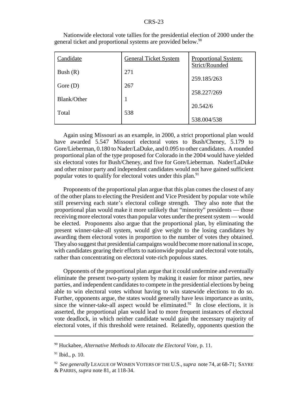| Candidate   | <b>General Ticket System</b> | Proportional System:<br>Strict/Rounded |
|-------------|------------------------------|----------------------------------------|
| Bush $(R)$  | 271                          | 259.185/263                            |
| Gore $(D)$  | 267                          |                                        |
| Blank/Other |                              | 258.227/269                            |
| Total       | 538                          | 20.542/6                               |
|             |                              | 538.004/538                            |

Nationwide electoral vote tallies for the presidential election of 2000 under the general ticket and proportional systems are provided below.<sup>90</sup>

Again using Missouri as an example, in 2000, a strict proportional plan would have awarded 5.547 Missouri electoral votes to Bush/Cheney, 5.179 to Gore/Lieberman, 0.180 to Nader/LaDuke, and 0.095 to other candidates. A rounded proportional plan of the type proposed for Colorado in the 2004 would have yielded six electoral votes for Bush/Cheney, and five for Gore/Lieberman. Nader/LaDuke and other minor party and independent candidates would not have gained sufficient popular votes to qualify for electoral votes under this plan.<sup>91</sup>

Proponents of the proportional plan argue that this plan comes the closest of any of the other plans to electing the President and Vice President by popular vote while still preserving each state's electoral college strength. They also note that the proportional plan would make it more unlikely that "minority" presidents — those receiving more electoral votes than popular votes under the present system — would be elected. Proponents also argue that the proportional plan, by eliminating the present winner-take-all system, would give weight to the losing candidates by awarding them electoral votes in proportion to the number of votes they obtained. They also suggest that presidential campaigns would become more national in scope, with candidates gearing their efforts to nationwide popular and electoral vote totals, rather than concentrating on electoral vote-rich populous states.

Opponents of the proportional plan argue that it could undermine and eventually eliminate the present two-party system by making it easier for minor parties, new parties, and independent candidates to compete in the presidential elections by being able to win electoral votes without having to win statewide elections to do so. Further, opponents argue, the states would generally have less importance as units, since the winner-take-all aspect would be eliminated.<sup>92</sup> In close elections, it is asserted, the proportional plan would lead to more frequent instances of electoral vote deadlock, in which neither candidate would gain the necessary majority of electoral votes, if this threshold were retained. Relatedly, opponents question the

<sup>90</sup> Huckabee, *Alternative Methods to Allocate the Electoral Vote*, p. 11.

 $91$  Ibid., p. 10.

<sup>92</sup> *See generally* LEAGUE OF WOMEN VOTERS OF THE U.S., *supra* note 74, at 68-71; SAYRE & PARRIS, *supra* note 81, at 118-34.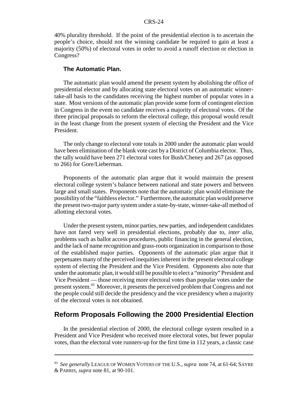40% plurality threshold. If the point of the presidential election is to ascertain the people's choice, should not the winning candidate be required to gain at least a majority (50%) of electoral votes in order to avoid a runoff election or election in Congress?

#### **The Automatic Plan.**

The automatic plan would amend the present system by abolishing the office of presidential elector and by allocating state electoral votes on an automatic winnertake-all basis to the candidates receiving the highest number of popular votes in a state. Most versions of the automatic plan provide some form of contingent election in Congress in the event no candidate receives a majority of electoral votes. Of the three principal proposals to reform the electoral college, this proposal would result in the least change from the present system of electing the President and the Vice President.

The only change to electoral vote totals in 2000 under the automatic plan would have been elimination of the blank vote cast by a District of Columbia elector. Thus, the tally would have been 271 electoral votes for Bush/Cheney and 267 (as opposed to 266) for Gore/Lieberman.

Proponents of the automatic plan argue that it would maintain the present electoral college system's balance between national and state powers and between large and small states. Proponents note that the automatic plan would eliminate the possibility of the "faithless elector." Furthermore, the automatic plan would preserve the present two-major party system under a state-by-state, winner-take-all method of allotting electoral votes.

Under the present system, minor parties, new parties, and independent candidates have not fared very well in presidential elections, probably due to, *inter alia,* problems such as ballot access procedures, public financing in the general election, and the lack of name recognition and grass-roots organization in comparison to those of the established major parties. Opponents of the automatic plan argue that it perpetuates many of the perceived inequities inherent in the present electoral college system of electing the President and the Vice President. Opponents also note that under the automatic plan, it would still be possible to elect a "minority" President and Vice President — those receiving more electoral votes than popular votes under the present system.93 Moreover, it presents the perceived problem that Congress and not the people could still decide the presidency and the vice presidency when a majority of the electoral votes is not obtained.

#### **Reform Proposals Following the 2000 Presidential Election**

In the presidential election of 2000, the electoral college system resulted in a President and Vice President who received more electoral votes, but fewer popular votes, than the electoral vote runners-up for the first time in 112 years, a classic case

<sup>93</sup> *See generally* LEAGUE OF WOMEN VOTERS OF THE U.S., *supra* note 74, at 61-64; SAYRE & PARRIS, *supra* note 81, at 90-101.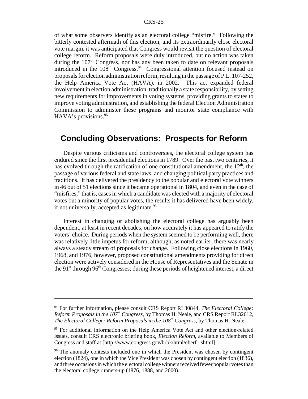of what some observers identify as an electoral college "misfire." Following the bitterly contested aftermath of this election, and its extraordinarily close electoral vote margin, it was anticipated that Congress would revisit the question of electoral college reform. Reform proposals were duly introduced, but no action was taken during the  $107<sup>th</sup>$  Congress, nor has any been taken to date on relevant proposals introduced in the  $108<sup>th</sup>$  Congress.<sup>94</sup> Congressional attention focused instead on proposals for election administration reform, resulting in the passage of P.L. 107-252, the Help America Vote Act (HAVA), in 2002. This act expanded federal involvement in election administration, traditionally a state responsibility, by setting new requirements for improvements in voting systems, providing grants to states to improve voting administration, and establishing the federal Election Administration Commission to administer these programs and monitor state compliance with  $HAVA's$  provisions.<sup>95</sup>

# **Concluding Observations: Prospects for Reform**

Despite various criticisms and controversies, the electoral college system has endured since the first presidential elections in 1789. Over the past two centuries, it has evolved through the ratification of one constitutional amendment, the  $12<sup>th</sup>$ , the passage of various federal and state laws, and changing political party practices and traditions. It has delivered the presidency to the popular and electoral vote winners in 46 out of 51 elections since it became operational in 1804, and even in the case of "misfires," that is, cases in which a candidate was elected with a majority of electoral votes but a minority of popular votes, the results it has delivered have been widely, if not universally, accepted as legitimate.<sup>96</sup>

Interest in changing or abolishing the electoral college has arguably been dependent, at least in recent decades, on how accurately it has appeared to ratify the voters' choice. During periods when the system seemed to be performing well, there was relatively little impetus for reform, although, as noted earlier, there was nearly always a steady stream of proposals for change. Following close elections in 1960, 1968, and 1976, however, proposed constitutional amendments providing for direct election were actively considered in the House of Representatives and the Senate in the 91<sup>st</sup> through 96<sup>th</sup> Congresses; during these periods of heightened interest, a direct

<sup>94</sup> For further information, please consult CRS Report RL30844, *The Electoral College: Reform Proposals in the 107th Congress*, by Thomas H. Neale, and CRS Report RL32612, *The Electoral College: Reform Proposals in the 108th Congress*, by Thomas H. Neale.

<sup>&</sup>lt;sup>95</sup> For additional information on the Help America Vote Act and other election-related issues, consult CRS electronic briefing book, *Election Reform*, available to Members of Congress and staff at [http://www.congress.gov/brbk/html/eberf1.shtml] .

<sup>&</sup>lt;sup>96</sup> The anomaly contests included one in which the President was chosen by contingent election (1824), one in which the Vice President was chosen by contingent election (1836), and three occasions in which the electoral college winners received fewer popular votes than the electoral college runners-up (1876, 1888, and 2000).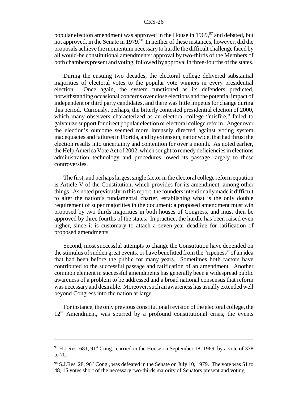popular election amendment was approved in the House in 1969, $97$  and debated, but not approved, in the Senate in 1979.<sup>98</sup> In neither of these instances, however, did the proposals achieve the momentum necessary to hurdle the difficult challenge faced by all would-be constitutional amendments: approval by two-thirds of the Members of both chambers present and voting, followed by approval in three-fourths of the states.

During the ensuing two decades, the electoral college delivered substantial majorities of electoral votes to the popular vote winners in every presidential election. Once again, the system functioned as its defenders predicted, notwithstanding occasional concerns over close elections and the potential impact of independent or third party candidates, and there was little impetus for change during this period. Curiously, perhaps, the bitterly contested presidential election of 2000, which many observers characterized as an electoral college "misfire," failed to galvanize support for direct popular election or electoral college reform. Anger over the election's outcome seemed more intensely directed against voting system inadequacies and failures in Florida, and by extension, nationwide, that had thrust the election results into uncertainty and contention for over a month. As noted earlier, the Help America Vote Act of 2002, which sought to remedy deficiencies in elections administration technology and procedures, owed its passage largely to these controversies.

The first, and perhaps largest single factor in the electoral college reform equation is Article V of the Constitution, which provides for its amendment, among other things. As noted previously in this report, the founders intentionally made it difficult to alter the nation's fundamental charter, establishing what is the only double requirement of super majorities in the document: a proposed amendment must win proposed by two thirds majorities in both houses of Congress, and must then be approved by three fourths of the states. In practice, the hurdle has been raised even higher, since it is customary to attach a seven-year deadline for ratification of proposed amendments.

Second, most successful attempts to change the Constitution have depended on the stimulus of sudden great events, or have benefitted from the "ripeness" of an idea that had been before the public for many years. Sometimes both factors have contributed to the successful passage and ratification of an amendment. Another common element in successful amendments has generally been a widespread public awareness of a problem to be addressed and a broad national consensus that reform was necessary and desirable. Moreover, such an awareness has usually extended well beyond Congress into the nation at large.

For instance, the only previous constitutional revision of the electoral college, the  $12<sup>th</sup>$  Amendment, was spurred by a profound constitutional crisis, the events

 $97$  H.J.Res. 681, 91<sup>st</sup> Cong., carried in the House on September 18, 1969, by a vote of 338 to 70.

 $98$  S.J.Res. 28, 96<sup>th</sup> Cong., was defeated in the Senate on July 10, 1979. The vote was 51 to 48, 15 votes short of the necessary two-thirds majority of Senators present and voting.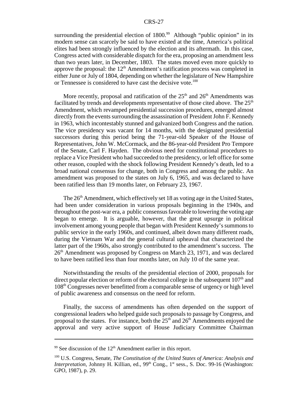surrounding the presidential election of  $1800.^{99}$  Although "public opinion" in its modern sense can scarcely be said to have existed at the time, America's political elites had been strongly influenced by the election and its aftermath. In this case, Congress acted with considerable dispatch for the era, proposing an amendment less than two years later, in December, 1803. The states moved even more quickly to approve the proposal: the  $12<sup>th</sup>$  Amendment's ratification process was completed in either June or July of 1804, depending on whether the legislature of New Hampshire or Tennessee is considered to have cast the decisive vote.<sup>100</sup>

More recently, proposal and ratification of the  $25<sup>th</sup>$  and  $26<sup>th</sup>$  Amendments was facilitated by trends and developments representative of those cited above. The  $25<sup>th</sup>$ Amendment, which revamped presidential succession procedures, emerged almost directly from the events surrounding the assassination of President John F. Kennedy in 1963, which incontestably stunned and galvanized both Congress and the nation. The vice presidency was vacant for 14 months, with the designated presidential successors during this period being the 71-year-old Speaker of the House of Representatives, John W. McCormack, and the 86-year-old President Pro Tempore of the Senate, Carl F. Hayden. The obvious need for constitutional procedures to replace a Vice President who had succeeded to the presidency, or left office for some other reason, coupled with the shock following President Kennedy's death, led to a broad national consensus for change, both in Congress and among the public. An amendment was proposed to the states on July 6, 1965, and was declared to have been ratified less than 19 months later, on February 23, 1967.

The 26<sup>th</sup> Amendment, which effectively set 18 as voting age in the United States, had been under consideration in various proposals beginning in the 1940s, and throughout the post-war era, a public consensus favorable to lowering the voting age began to emerge. It is arguable, however, that the great upsurge in political involvement among young people that began with President Kennedy's summons to public service in the early 1960s, and continued, albeit down many different roads, during the Vietnam War and the general cultural upheaval that characterized the latter part of the 1960s, also strongly contributed to the amendment's success. The 26<sup>th</sup> Amendment was proposed by Congress on March 23, 1971, and was declared to have been ratified less than four months later, on July 10 of the same year.

Notwithstanding the results of the presidential election of 2000, proposals for direct popular election or reform of the electoral college in the subsequent  $107<sup>th</sup>$  and 108th Congresses never benefitted from a comparable sense of urgency or high level of public awareness and consensus on the need for reform.

Finally, the success of amendments has often depended on the support of congressional leaders who helped guide such proposals to passage by Congress, and proposal to the states. For instance, both the  $25<sup>th</sup>$  and  $26<sup>th</sup>$  Amendments enjoyed the approval and very active support of House Judiciary Committee Chairman

 $99$  See discussion of the  $12<sup>th</sup>$  Amendment earlier in this report.

<sup>100</sup> U.S. Congress, Senate, *The Constitution of the United States of America: Analysis and Interpretation*, Johnny H. Killian, ed., 99<sup>th</sup> Cong., 1<sup>st</sup> sess., S. Doc. 99-16 (Washington: GPO, 1987), p. 29.